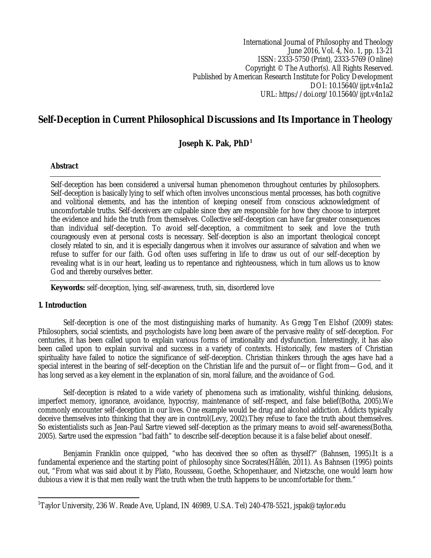International Journal of Philosophy and Theology June 2016, Vol. 4, No. 1, pp. 13-21 ISSN: 2333-5750 (Print), 2333-5769 (Online) Copyright © The Author(s). All Rights Reserved. Published by American Research Institute for Policy Development DOI: 10.15640/ijpt.v4n1a2 URL: https://doi.org/10.15640/ijpt.v4n1a2

# **Self-Deception in Current Philosophical Discussions and Its Importance in Theology**

# **Joseph K. Pak, PhD<sup>1</sup>**

# **Abstract**

Self-deception has been considered a universal human phenomenon throughout centuries by philosophers. Self-deception is basically lying to self which often involves unconscious mental processes, has both cognitive and volitional elements, and has the intention of keeping oneself from conscious acknowledgment of uncomfortable truths. Self-deceivers are culpable since they are responsible for how they choose to interpret the evidence and hide the truth from themselves. Collective self-deception can have far greater consequences than individual self-deception. To avoid self-deception, a commitment to seek and love the truth courageously even at personal costs is necessary. Self-deception is also an important theological concept closely related to sin, and it is especially dangerous when it involves our assurance of salvation and when we refuse to suffer for our faith. God often uses suffering in life to draw us out of our self-deception by revealing what is in our heart, leading us to repentance and righteousness, which in turn allows us to know God and thereby ourselves better.

**Keywords:** self-deception, lying, self-awareness, truth, sin, disordered love

## **1. Introduction**

Self-deception is one of the most distinguishing marks of humanity. As Gregg Ten Elshof (2009) states: Philosophers, social scientists, and psychologists have long been aware of the pervasive reality of self-deception. For centuries, it has been called upon to explain various forms of irrationality and dysfunction. Interestingly, it has also been called upon to explain survival and success in a variety of contexts. Historically, few masters of Christian spirituality have failed to notice the significance of self-deception. Christian thinkers through the ages have had a special interest in the bearing of self-deception on the Christian life and the pursuit of—or flight from—God, and it has long served as a key element in the explanation of sin, moral failure, and the avoidance of God.

Self-deception is related to a wide variety of phenomena such as irrationality, wishful thinking, delusions, imperfect memory, ignorance, avoidance, hypocrisy, maintenance of self-respect, and false belief(Botha, 2005).We commonly encounter self-deception in our lives. One example would be drug and alcohol addiction. Addicts typically deceive themselves into thinking that they are in control(Levy, 2002).They refuse to face the truth about themselves. So existentialists such as Jean-Paul Sartre viewed self-deception as the primary means to avoid self-awareness(Botha, 2005). Sartre used the expression "bad faith" to describe self-deception because it is a false belief about oneself.

Benjamin Franklin once quipped, "who has deceived thee so often as thyself?" (Bahnsen, 1995).It is a fundamental experience and the starting point of philosophy since Socrates(Hållén, 2011). As Bahnsen (1995) points out, "From what was said about it by Plato, Rousseau, Goethe, Schopenhauer, and Nietzsche, one would learn how dubious a view it is that men really want the truth when the truth happens to be uncomfortable for them."

 $\overline{\phantom{a}}$  $^1$ Taylor University, 236 W. Reade Ave, Upland, IN 46989, U.S.A. Tel) 240-478-5521, jspak@taylor.edu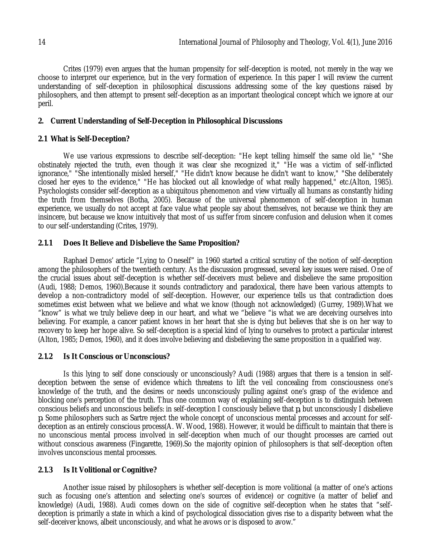Crites (1979) even argues that the human propensity for self-deception is rooted, not merely in the way we choose to interpret our experience, but in the very formation of experience. In this paper I will review the current understanding of self-deception in philosophical discussions addressing some of the key questions raised by philosophers, and then attempt to present self-deception as an important theological concept which we ignore at our peril.

# **2. Current Understanding of Self-Deception in Philosophical Discussions**

# **2.1 What is Self-Deception?**

We use various expressions to describe self-deception: "He kept telling himself the same old lie," "She obstinately rejected the truth, even though it was clear she recognized it," "He was a victim of self-inflicted ignorance," "She intentionally misled herself," "He didn't know because he didn't want to know," "She deliberately closed her eyes to the evidence," "He has blocked out all knowledge of what really happened," etc.(Alton, 1985). Psychologists consider self-deception as a ubiquitous phenomenon and view virtually all humans as constantly hiding the truth from themselves (Botha, 2005). Because of the universal phenomenon of self-deception in human experience, we usually do not accept at face value what people say about themselves, not because we think they are insincere, but because we know intuitively that most of us suffer from sincere confusion and delusion when it comes to our self-understanding (Crites, 1979).

# **2.1.1 Does It Believe and Disbelieve the Same Proposition?**

Raphael Demos' article "Lying to Oneself" in 1960 started a critical scrutiny of the notion of self-deception among the philosophers of the twentieth century. As the discussion progressed, several key issues were raised. One of the crucial issues about self-deception is whether self-deceivers must believe and disbelieve the same proposition (Audi, 1988; Demos, 1960).Because it sounds contradictory and paradoxical, there have been various attempts to develop a non-contradictory model of self-deception. However, our experience tells us that contradiction does sometimes exist between what we believe and what we know (though not acknowledged) (Gurrey, 1989).What we "know" is what we truly believe deep in our heart, and what we "believe "is what we are deceiving ourselves into believing. For example, a cancer patient knows in her heart that she is dying but believes that she is on her way to recovery to keep her hope alive. So self-deception is a special kind of lying to ourselves to protect a particular interest (Alton, 1985; Demos, 1960), and it does involve believing and disbelieving the same proposition in a qualified way.

## **2.1.2 Is It Conscious or Unconscious?**

Is this lying to self done consciously or unconsciously? Audi (1988) argues that there is a tension in selfdeception between the sense of evidence which threatens to lift the veil concealing from consciousness one's knowledge of the truth, and the desires or needs unconsciously pulling against one's grasp of the evidence and blocking one's perception of the truth. Thus one common way of explaining self-deception is to distinguish between conscious beliefs and unconscious beliefs: in self-deception I consciously believe that *p,* but unconsciously I disbelieve *p.* Some philosophers such as Sartre reject the whole concept of unconscious mental processes and account for selfdeception as an entirely conscious process(A. W. Wood, 1988). However, it would be difficult to maintain that there is no unconscious mental process involved in self-deception when much of our thought processes are carried out without conscious awareness (Fingarette, 1969).So the majority opinion of philosophers is that self-deception often involves unconscious mental processes.

# **2.1.3 Is It Volitional or Cognitive?**

Another issue raised by philosophers is whether self-deception is more volitional (a matter of one's actions such as focusing one's attention and selecting one's sources of evidence) or cognitive (a matter of belief and knowledge) (Audi, 1988). Audi comes down on the side of cognitive self-deception when he states that "selfdeception is primarily a state in which a kind of psychological dissociation gives rise to a disparity between what the self-deceiver knows, albeit unconsciously, and what he avows or is disposed to avow."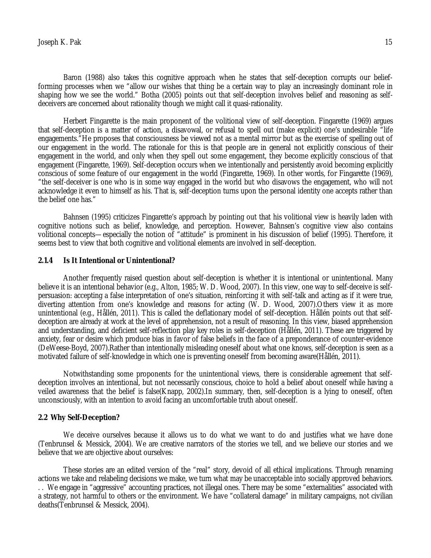Baron (1988) also takes this cognitive approach when he states that self-deception corrupts our beliefforming processes when we "allow our wishes that thing be a certain way to play an increasingly dominant role in shaping how we see the world." Botha (2005) points out that self-deception involves belief and reasoning as selfdeceivers are concerned about rationality though we might call it quasi-rationality.

Herbert Fingarette is the main proponent of the volitional view of self-deception. Fingarette (1969) argues that self-deception is a matter of action, a disavowal, or refusal to spell out (make explicit) one's undesirable "life engagements."He proposes that consciousness be viewed not as a mental mirror but as the exercise of spelling out of our engagement in the world. The rationale for this is that people are in general not explicitly conscious of their engagement in the world, and only when they spell out some engagement, they become explicitly conscious of that engagement (Fingarette, 1969). Self-deception occurs when we intentionally and persistently avoid becoming explicitly conscious of some feature of our engagement in the world (Fingarette, 1969). In other words, for Fingarette (1969), "the self-deceiver is one who is in some way engaged in the world but who disavows the engagement, who will not acknowledge it even to himself as his. That is, self-deception turns upon the personal identity one accepts rather than the belief one has."

Bahnsen (1995) criticizes Fingarette's approach by pointing out that his volitional view is heavily laden with cognitive notions such as belief, knowledge, and perception. However, Bahnsen's cognitive view also contains volitional concepts—especially the notion of "attitude" is prominent in his discussion of belief (1995). Therefore, it seems best to view that both cognitive and volitional elements are involved in self-deception.

#### **2.1.4 Is It Intentional or Unintentional?**

Another frequently raised question about self-deception is whether it is intentional or unintentional. Many believe it is an intentional behavior (e.g., Alton, 1985; W. D. Wood, 2007). In this view, one way to self-deceive is selfpersuasion: accepting a false interpretation of one's situation, reinforcing it with self-talk and acting as if it were true, diverting attention from one's knowledge and reasons for acting (W. D. Wood, 2007).Others view it as more unintentional (e.g., Hållén, 2011). This is called the deflationary model of self-deception. Hållén points out that selfdeception are already at work at the level of apprehension, not a result of reasoning. In this view, biased apprehension and understanding, and deficient self-reflection play key roles in self-deception (Hållén, 2011). These are triggered by anxiety, fear or desire which produce bias in favor of false beliefs in the face of a preponderance of counter-evidence (DeWeese-Boyd, 2007).Rather than intentionally misleading oneself about what one knows, self-deception is seen as a motivated failure of self-knowledge in which one is preventing oneself from becoming aware(Hållén, 2011).

Notwithstanding some proponents for the unintentional views, there is considerable agreement that selfdeception involves an intentional, but not necessarily conscious, choice to hold a belief about oneself while having a veiled awareness that the belief is false(Knapp, 2002).In summary, then, self-deception is a lying to oneself, often unconsciously, with an intention to avoid facing an uncomfortable truth about oneself.

#### **2.2 Why Self-Deception?**

We deceive ourselves because it allows us to do what we want to do and justifies what we have done (Tenbrunsel & Messick, 2004). We are creative narrators of the stories we tell, and we believe our stories and we believe that we are objective about ourselves:

These stories are an edited version of the "real" story, devoid of all ethical implications. Through renaming actions we take and relabeling decisions we make, we turn what may be unacceptable into socially approved behaviors. . . We engage in "aggressive" accounting practices, not illegal ones. There may be some "externalities" associated with a strategy, not harmful to others or the environment. We have "collateral damage" in military campaigns, not civilian deaths(Tenbrunsel & Messick, 2004).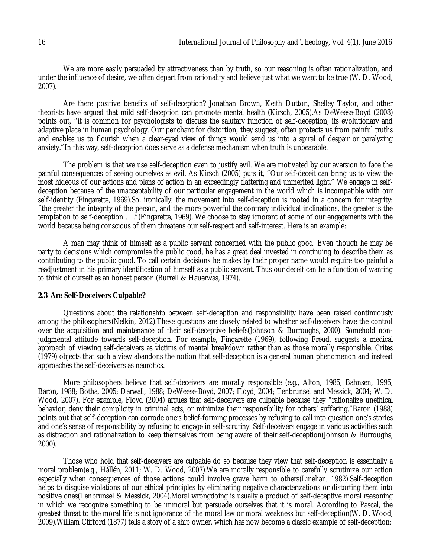We are more easily persuaded by attractiveness than by truth, so our reasoning is often rationalization, and under the influence of desire, we often depart from rationality and believe just what we want to be true (W. D. Wood, 2007).

Are there positive benefits of self-deception? Jonathan Brown, Keith Dutton, Shelley Taylor, and other theorists have argued that mild self-deception can promote mental health (Kirsch, 2005).As DeWeese-Boyd (2008) points out, "it is common for psychologists to discuss the salutary function of self-deception, its evolutionary and adaptive place in human psychology. Our penchant for distortion, they suggest, often protects us from painful truths and enables us to flourish when a clear-eyed view of things would send us into a spiral of despair or paralyzing anxiety."In this way, self-deception does serve as a defense mechanism when truth is unbearable.

The problem is that we use self-deception even to justify evil. We are motivated by our aversion to face the painful consequences of seeing ourselves as evil. As Kirsch (2005) puts it, "Our self-deceit can bring us to view the most hideous of our actions and plans of action in an exceedingly flattering and unmerited light." We engage in selfdeception because of the unacceptability of our particular engagement in the world which is incompatible with our self-identity (Fingarette, 1969).So, ironically, the movement into self-deception is rooted in a concern for integrity: "the greater the integrity of the person, and the more powerful the contrary individual inclinations, the greater is the temptation to self-deception . . ."(Fingarette, 1969). We choose to stay ignorant of some of our engagements with the world because being conscious of them threatens our self-respect and self-interest. Here is an example:

A man may think of himself as a public servant concerned with the public good. Even though he may be party to decisions which compromise the public good, he has a great deal invested in continuing to describe them as contributing to the public good. To call certain decisions he makes by their proper name would require too painful a readjustment in his primary identification of himself as a public servant. Thus our deceit can be a function of wanting to think of ourself as an honest person (Burrell & Hauerwas, 1974).

## **2.3 Are Self-Deceivers Culpable?**

Questions about the relationship between self-deception and responsibility have been raised continuously among the philosophers(Nelkin, 2012).These questions are closely related to whether self-deceivers have the control over the acquisition and maintenance of their self-deceptive beliefs(Johnson & Burroughs, 2000). Somehold nonjudgmental attitude towards self-deception. For example, Fingarette (1969), following Freud, suggests a medical approach of viewing self-deceivers as victims of mental breakdown rather than as those morally responsible. Crites (1979) objects that such a view abandons the notion that self-deception is a general human phenomenon and instead approaches the self-deceivers as neurotics.

More philosophers believe that self-deceivers are morally responsible (e.g., Alton, 1985; Bahnsen, 1995; Baron, 1988; Botha, 2005; Darwall, 1988; DeWeese-Boyd, 2007; Floyd, 2004; Tenbrunsel and Messick, 2004; W. D. Wood, 2007). For example, Floyd (2004) argues that self-deceivers are culpable because they "rationalize unethical behavior, deny their complicity in criminal acts, or minimize their responsibility for others' suffering."Baron (1988) points out that self-deception can corrode one's belief-forming processes by refusing to call into question one's stories and one's sense of responsibility by refusing to engage in self-scrutiny. Self-deceivers engage in various activities such as distraction and rationalization to keep themselves from being aware of their self-deception(Johnson & Burroughs, 2000).

Those who hold that self-deceivers are culpable do so because they view that self-deception is essentially a moral problem(e.g., Hållén, 2011; W. D. Wood, 2007).We are morally responsible to carefully scrutinize our action especially when consequences of those actions could involve grave harm to others(Linehan, 1982).Self-deception helps to disguise violations of our ethical principles by eliminating negative characterizations or distorting them into positive ones(Tenbrunsel & Messick, 2004).Moral wrongdoing is usually a product of self-deceptive moral reasoning in which we recognize something to be immoral but persuade ourselves that it is moral. According to Pascal, the greatest threat to the moral life is not ignorance of the moral law or moral weakness but self-deception(W. D. Wood, 2009).William Clifford (1877) tells a story of a ship owner, which has now become a classic example of self-deception: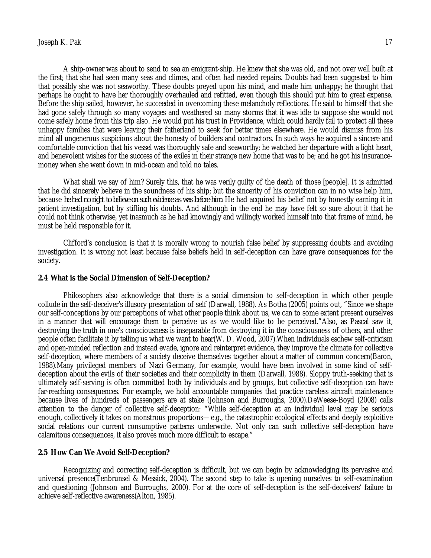A ship-owner was about to send to sea an emigrant-ship. He knew that she was old, and not over well built at the first; that she had seen many seas and climes, and often had needed repairs. Doubts had been suggested to him that possibly she was not seaworthy. These doubts preyed upon his mind, and made him unhappy; he thought that perhaps he ought to have her thoroughly overhauled and refitted, even though this should put him to great expense. Before the ship sailed, however, he succeeded in overcoming these melancholy reflections. He said to himself that she had gone safely through so many voyages and weathered so many storms that it was idle to suppose she would not come safely home from this trip also. He would put his trust in Providence, which could hardly fail to protect all these unhappy families that were leaving their fatherland to seek for better times elsewhere. He would dismiss from his mind all ungenerous suspicions about the honesty of builders and contractors. In such ways he acquired a sincere and comfortable conviction that his vessel was thoroughly safe and seaworthy; he watched her departure with a light heart, and benevolent wishes for the success of the exiles in their strange new home that was to be; and he got his insurancemoney when she went down in mid-ocean and told no tales.

What shall we say of him? Surely this, that he was verily guilty of the death of those [people]. It is admitted that he did sincerely believe in the soundness of his ship; but the sincerity of his conviction can in no wise help him, because *he had no right to believe on such evidence as was before him*. He had acquired his belief not by honestly earning it in patient investigation, but by stifling his doubts. And although in the end he may have felt so sure about it that he could not think otherwise, yet inasmuch as he had knowingly and willingly worked himself into that frame of mind, he must be held responsible for it.

Clifford's conclusion is that it is morally wrong to nourish false belief by suppressing doubts and avoiding investigation. It is wrong not least because false beliefs held in self-deception can have grave consequences for the society.

#### **2.4 What is the Social Dimension of Self-Deception?**

Philosophers also acknowledge that there is a social dimension to self-deception in which other people collude in the self-deceiver's illusory presentation of self (Darwall, 1988). As Botha (2005) points out, "Since we shape our self-conceptions by our perceptions of what other people think about us, we can to some extent present ourselves in a manner that will encourage them to perceive us as we would like to be perceived."Also, as Pascal saw it, destroying the truth in one's consciousness is inseparable from destroying it in the consciousness of others, and other people often facilitate it by telling us what we want to hear(W. D. Wood, 2007).When individuals eschew self-criticism and open-minded reflection and instead evade, ignore and reinterpret evidence, they improve the climate for collective self-deception, where members of a society deceive themselves together about a matter of common concern(Baron, 1988).Many privileged members of Nazi Germany, for example, would have been involved in some kind of selfdeception about the evils of their societies and their complicity in them (Darwall, 1988). Sloppy truth-seeking that is ultimately self-serving is often committed both by individuals and by groups, but collective self-deception can have far-reaching consequences. For example, we hold accountable companies that practice careless aircraft maintenance because lives of hundreds of passengers are at stake (Johnson and Burroughs, 2000).DeWeese-Boyd (2008) calls attention to the danger of collective self-deception: "While self-deception at an individual level may be serious enough, collectively it takes on monstrous proportions—e.g., the catastrophic ecological effects and deeply exploitive social relations our current consumptive patterns underwrite. Not only can such collective self-deception have calamitous consequences, it also proves much more difficult to escape."

#### **2.5 How Can We Avoid Self-Deception?**

Recognizing and correcting self-deception is difficult, but we can begin by acknowledging its pervasive and universal presence(Tenbrunsel & Messick, 2004). The second step to take is opening ourselves to self-examination and questioning (Johnson and Burroughs, 2000). For at the core of self-deception is the self-deceivers' failure to achieve self-reflective awareness(Alton, 1985).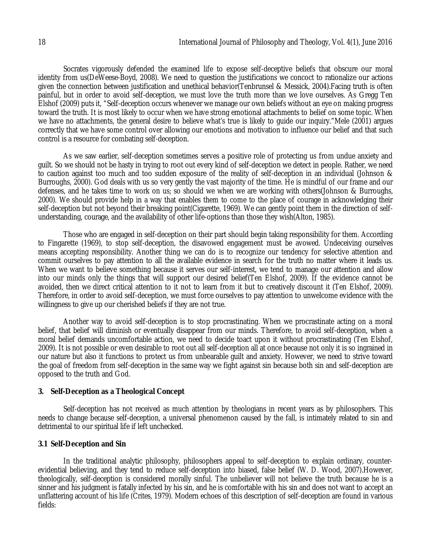Socrates vigorously defended the examined life to expose self-deceptive beliefs that obscure our moral identity from us(DeWeese-Boyd, 2008). We need to question the justifications we concoct to rationalize our actions given the connection between justification and unethical behavior(Tenbrunsel & Messick, 2004).Facing truth is often painful, but in order to avoid self-deception, we must love the truth more than we love ourselves. As Gregg Ten Elshof (2009) puts it, "Self-deception occurs whenever we manage our own beliefs without an eye on making progress toward the truth. It is most likely to occur when we have strong emotional attachments to belief on some topic. When we have no attachments, the general desire to believe what's true is likely to guide our inquiry."Mele (2001) argues correctly that we have some control over allowing our emotions and motivation to influence our belief and that such control is a resource for combating self-deception.

As we saw earlier, self-deception sometimes serves a positive role of protecting us from undue anxiety and guilt. So we should not be hasty in trying to root out every kind of self-deception we detect in people. Rather, we need to caution against too much and too sudden exposure of the reality of self-deception in an individual (Johnson & Burroughs, 2000). God deals with us so very gently the vast majority of the time. He is mindful of our frame and our defenses, and he takes time to work on us; so should we when we are working with others(Johnson & Burroughs, 2000). We should provide help in a way that enables them to come to the place of courage in acknowledging their self-deception but not beyond their breaking point(Cigarette, 1969). We can gently point them in the direction of selfunderstanding, courage, and the availability of other life-options than those they wish(Alton, 1985).

Those who are engaged in self-deception on their part should begin taking responsibility for them. According to Fingarette (1969), to stop self-deception, the disavowed engagement must be avowed. Undeceiving ourselves means accepting responsibility. Another thing we can do is to recognize our tendency for selective attention and commit ourselves to pay attention to all the available evidence in search for the truth no matter where it leads us. When we want to believe something because it serves our self-interest, we tend to manage our attention and allow into our minds only the things that will support our desired belief(Ten Elshof, 2009). If the evidence cannot be avoided, then we direct critical attention to it not to learn from it but to creatively discount it (Ten Elshof, 2009). Therefore, in order to avoid self-deception, we must force ourselves to pay attention to unwelcome evidence with the willingness to give up our cherished beliefs if they are not true.

Another way to avoid self-deception is to stop procrastinating. When we procrastinate acting on a moral belief, that belief will diminish or eventually disappear from our minds. Therefore, to avoid self-deception, when a moral belief demands uncomfortable action, we need to decide toact upon it without procrastinating (Ten Elshof, 2009). It is not possible or even desirable to root out all self-deception all at once because not only it is so ingrained in our nature but also it functions to protect us from unbearable guilt and anxiety. However, we need to strive toward the goal of freedom from self-deception in the same way we fight against sin because both sin and self-deception are opposed to the truth and God.

## **3. Self-Deception as a Theological Concept**

Self-deception has not received as much attention by theologians in recent years as by philosophers. This needs to change because self-deception, a universal phenomenon caused by the fall, is intimately related to sin and detrimental to our spiritual life if left unchecked.

# **3.1 Self-Deception and Sin**

In the traditional analytic philosophy, philosophers appeal to self-deception to explain ordinary, counterevidential believing, and they tend to reduce self-deception into biased, false belief (W. D. Wood, 2007).However, theologically, self-deception is considered morally sinful. The unbeliever will not believe the truth because he is a sinner and his judgment is fatally infected by his sin, and he is comfortable with his sin and does not want to accept an unflattering account of his life (Crites, 1979). Modern echoes of this description of self-deception are found in various fields: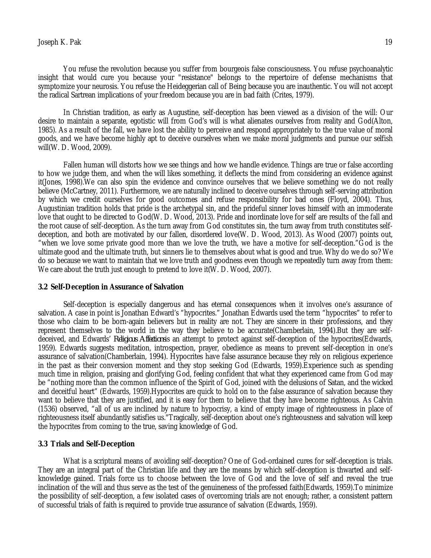You refuse the revolution because you suffer from bourgeois false consciousness. You refuse psychoanalytic insight that would cure you because your "resistance" belongs to the repertoire of defense mechanisms that symptomize your neurosis. You refuse the Heideggerian call of Being because you are inauthentic. You will not accept the radical Sartrean implications of your freedom because you are in bad faith (Crites, 1979).

In Christian tradition, as early as Augustine, self-deception has been viewed as a division of the will: Our desire to maintain a separate, egotistic will from God's will is what alienates ourselves from reality and God(Alton, 1985). As a result of the fall, we have lost the ability to perceive and respond appropriately to the true value of moral goods, and we have become highly apt to deceive ourselves when we make moral judgments and pursue our selfish will(W. D. Wood, 2009).

Fallen human will distorts how we see things and how we handle evidence. Things are true or false according to how we judge them, and when the will likes something, it deflects the mind from considering an evidence against it(Jones, 1998).We can also spin the evidence and convince ourselves that we believe something we do not really believe (McCartney, 2011). Furthermore, we are naturally inclined to deceive ourselves through self-serving attribution by which we credit ourselves for good outcomes and refuse responsibility for bad ones (Floyd, 2004). Thus, Augustinian tradition holds that pride is the archetypal sin, and the prideful sinner loves himself with an immoderate love that ought to be directed to God(W. D. Wood, 2013). Pride and inordinate love for self are results of the fall and the root cause of self-deception. As the turn away from God constitutes sin, the turn away from truth constitutes selfdeception, and both are motivated by our fallen, disordered love(W. D. Wood, 2013). As Wood (2007) points out, "when we love some private good more than we love the truth, we have a motive for self-deception."God is the ultimate good and the ultimate truth, but sinners lie to themselves about what is good and true. Why do we do so? We do so because we want to maintain that we love truth and goodness even though we repeatedly turn away from them: We care about the truth just enough to pretend to love it (W. D. Wood, 2007).

#### **3.2 Self-Deception in Assurance of Salvation**

Self-deception is especially dangerous and has eternal consequences when it involves one's assurance of salvation. A case in point is Jonathan Edward's "hypocrites." Jonathan Edwards used the term "hypocrites" to refer to those who claim to be born-again believers but in reality are not. They are sincere in their professions, and they represent themselves to the world in the way they believe to be accurate(Chamberlain, 1994).But they are selfdeceived, and Edwards' *Religious Affections*is an attempt to protect against self-deception of the hypocrites(Edwards, 1959). Edwards suggests meditation, introspection, prayer, obedience as means to prevent self-deception in one's assurance of salvation(Chamberlain, 1994). Hypocrites have false assurance because they rely on religious experience in the past as their conversion moment and they stop seeking God (Edwards, 1959).Experience such as spending much time in religion, praising and glorifying God, feeling confident that what they experienced came from God may be "nothing more than the common influence of the Spirit of God, joined with the delusions of Satan, and the wicked and deceitful heart" (Edwards, 1959).Hypocrites are quick to hold on to the false assurance of salvation because they want to believe that they are justified, and it is easy for them to believe that they have become righteous. As Calvin (1536) observed, "all of us are inclined by nature to hypocrisy, a kind of empty image of righteousness in place of righteousness itself abundantly satisfies us."Tragically, self-deception about one's righteousness and salvation will keep the hypocrites from coming to the true, saving knowledge of God.

#### **3.3 Trials and Self-Deception**

What is a scriptural means of avoiding self-deception? One of God-ordained cures for self-deception is trials. They are an integral part of the Christian life and they are the means by which self-deception is thwarted and selfknowledge gained. Trials force us to choose between the love of God and the love of self and reveal the true inclination of the will and thus serve as the test of the genuineness of the professed faith(Edwards, 1959).To minimize the possibility of self-deception, a few isolated cases of overcoming trials are not enough; rather, a consistent pattern of successful trials of faith is required to provide true assurance of salvation (Edwards, 1959).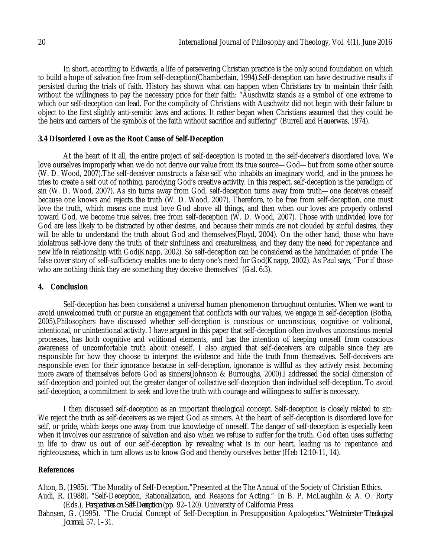In short, according to Edwards, a life of persevering Christian practice is the only sound foundation on which to build a hope of salvation free from self-deception(Chamberlain, 1994).Self-deception can have destructive results if persisted during the trials of faith. History has shown what can happen when Christians try to maintain their faith without the willingness to pay the necessary price for their faith: "Auschwitz stands as a symbol of one extreme to which our self-deception can lead. For the complicity of Christians with Auschwitz did not begin with their failure to object to the first slightly anti-semitic laws and actions. It rather began when Christians assumed that they could be the heirs and carriers of the symbols of the faith without sacrifice and suffering" (Burrell and Hauerwas, 1974).

## **3.4 Disordered Love as the Root Cause of Self-Deception**

At the heart of it all, the entire project of self-deception is rooted in the self-deceiver's disordered love. We love ourselves improperly when we do not derive our value from its true source—God—but from some other source (W. D. Wood, 2007).The self-deceiver constructs a false self who inhabits an imaginary world, and in the process he tries to create a self out of nothing, parodying God's creative activity. In this respect, self-deception is the paradigm of sin (W. D. Wood, 2007). As sin turns away from God, self-deception turns away from truth—one deceives oneself because one knows and rejects the truth (W. D. Wood, 2007). Therefore, to be free from self-deception, one must love the truth, which means one must love God above all things, and then when our loves are properly ordered toward God, we become true selves, free from self-deception (W. D. Wood, 2007). Those with undivided love for God are less likely to be distracted by other desires, and because their minds are not clouded by sinful desires, they will be able to understand the truth about God and themselves(Floyd, 2004). On the other hand, those who have idolatrous self-love deny the truth of their sinfulness and creatureliness, and they deny the need for repentance and new life in relationship with God(Knapp, 2002). So self-deception can be considered as the handmaiden of pride: The false cover story of self-sufficiency enables one to deny one's need for God(Knapp, 2002). As Paul says, "For if those who are nothing think they are something they deceive themselves" (Gal. 6:3).

## **4. Conclusion**

Self-deception has been considered a universal human phenomenon throughout centuries. When we want to avoid unwelcomed truth or pursue an engagement that conflicts with our values, we engage in self-deception (Botha, 2005).Philosophers have discussed whether self-deception is conscious or unconscious, cognitive or volitional, intentional, or unintentional activity. I have argued in this paper that self-deception often involves unconscious mental processes, has both cognitive and volitional elements, and has the intention of keeping oneself from conscious awareness of uncomfortable truth about oneself. I also argued that self-deceivers are culpable since they are responsible for how they choose to interpret the evidence and hide the truth from themselves. Self-deceivers are responsible even for their ignorance because in self-deception, ignorance is willful as they actively resist becoming more aware of themselves before God as sinners(Johnson & Burroughs, 2000).I addressed the social dimension of self-deception and pointed out the greater danger of collective self-deception than individual self-deception. To avoid self-deception, a commitment to seek and love the truth with courage and willingness to suffer is necessary.

I then discussed self-deception as an important theological concept. Self-deception is closely related to sin: We reject the truth as self-deceivers as we reject God as sinners. At the heart of self-deception is disordered love for self, or pride, which keeps one away from true knowledge of oneself. The danger of self-deception is especially keen when it involves our assurance of salvation and also when we refuse to suffer for the truth. God often uses suffering in life to draw us out of our self-deception by revealing what is in our heart, leading us to repentance and righteousness, which in turn allows us to know God and thereby ourselves better (Heb 12:10-11, 14).

## **References**

Alton, B. (1985). "The Morality of Self-Deception."Presented at the The Annual of the Society of Christian Ethics. Audi, R. (1988). "Self-Deception, Rationalization, and Reasons for Acting." In B. P. McLaughlin & A. O. Rorty (Eds.), *Perspectives on Self-Deception* (pp. 92–120). University of California Press.

Bahnsen, G. (1995). "The Crucial Concept of Self-Deception in Presupposition Apologetics."*Westminster Theological Journal,* 57, 1–31.